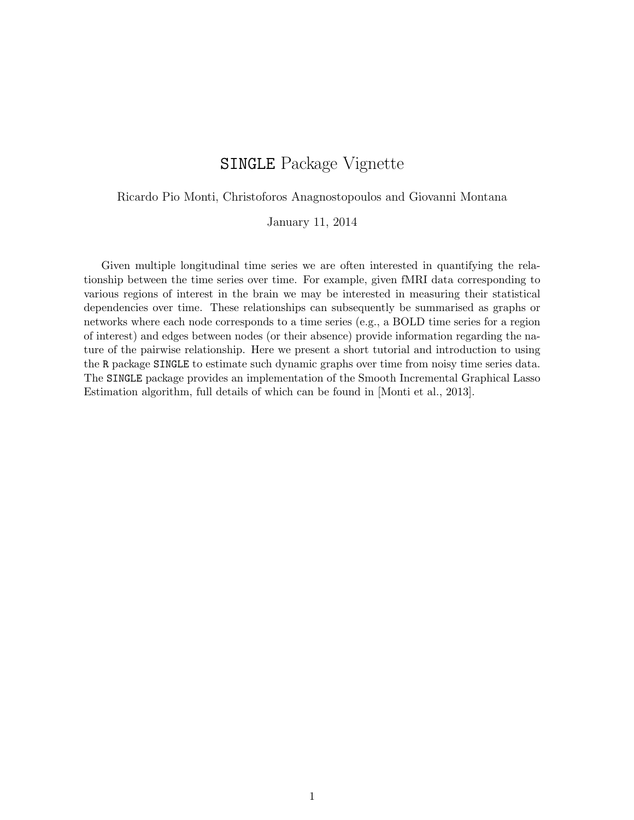# SINGLE Package Vignette

Ricardo Pio Monti, Christoforos Anagnostopoulos and Giovanni Montana

January 11, 2014

Given multiple longitudinal time series we are often interested in quantifying the relationship between the time series over time. For example, given fMRI data corresponding to various regions of interest in the brain we may be interested in measuring their statistical dependencies over time. These relationships can subsequently be summarised as graphs or networks where each node corresponds to a time series (e.g., a BOLD time series for a region of interest) and edges between nodes (or their absence) provide information regarding the nature of the pairwise relationship. Here we present a short tutorial and introduction to using the R package SINGLE to estimate such dynamic graphs over time from noisy time series data. The SINGLE package provides an implementation of the Smooth Incremental Graphical Lasso Estimation algorithm, full details of which can be found in [Monti et al., 2013].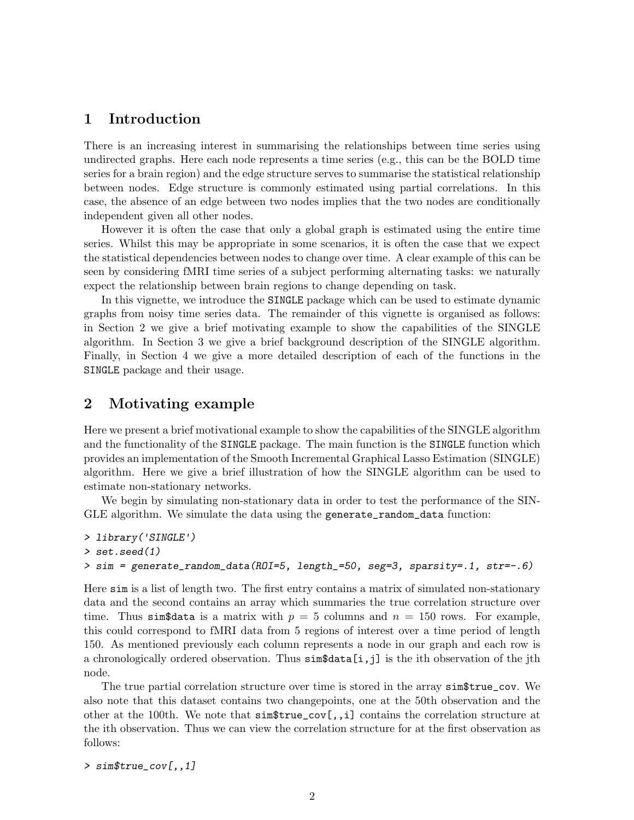## 1 Introduction

There is an increasing interest in summarising the relationships between time series using undirected graphs. Here each node represents a time series (e.g., this can be the BOLD time series for a brain region) and the edge structure serves to summarise the statistical relationship between nodes. Edge structure is commonly estimated using partial correlations. In this case, the absence of an edge between two nodes implies that the two nodes are conditionally independent given all other nodes.

However it is often the case that only a global graph is estimated using the entire time series. Whilst this may be appropriate in some scenarios, it is often the case that we expect the statistical dependencies between nodes to change over time. A clear example of this can be seen by considering fMRI time series of a subject performing alternating tasks: we naturally expect the relationship between brain regions to change depending on task.

In this vignette, we introduce the SINGLE package which can be used to estimate dynamic graphs from noisy time series data. The remainder of this vignette is organised as follows: in Section 2 we give a brief motivating example to show the capabilities of the SINGLE algorithm. In Section 3 we give a brief background description of the SINGLE algorithm. Finally, in Section 4 we give a more detailed description of each of the functions in the SINGLE package and their usage.

# 2 Motivating example

Here we present a brief motivational example to show the capabilities of the SINGLE algorithm and the functionality of the SINGLE package. The main function is the SINGLE function which provides an implementation of the Smooth Incremental Graphical Lasso Estimation (SINGLE) algorithm. Here we give a brief illustration of how the SINGLE algorithm can be used to estimate non-stationary networks.

We begin by simulating non-stationary data in order to test the performance of the SIN-GLE algorithm. We simulate the data using the generate\_random\_data function:

```
> library('SINGLE')
> set.seed(1)
> sim = generate_random_data(ROI=5, length_=50, seg=3, sparsity=.1, str=-.6)
```
Here sim is a list of length two. The first entry contains a matrix of simulated non-stationary data and the second contains an array which summaries the true correlation structure over time. Thus sim<sub>4</sub> data is a matrix with  $p = 5$  columns and  $n = 150$  rows. For example, this could correspond to fMRI data from 5 regions of interest over a time period of length 150. As mentioned previously each column represents a node in our graph and each row is a chronologically ordered observation. Thus sim\$data[i,j] is the ith observation of the jth node.

The true partial correlation structure over time is stored in the array sim\$true\_cov. We also note that this dataset contains two changepoints, one at the 50th observation and the other at the 100th. We note that  $\text{sim}\$ true\_cov $\left[\,\cdot\right]$  contains the correlation structure at the ith observation. Thus we can view the correlation structure for at the first observation as follows:

> sim\$true\_cov[,,1]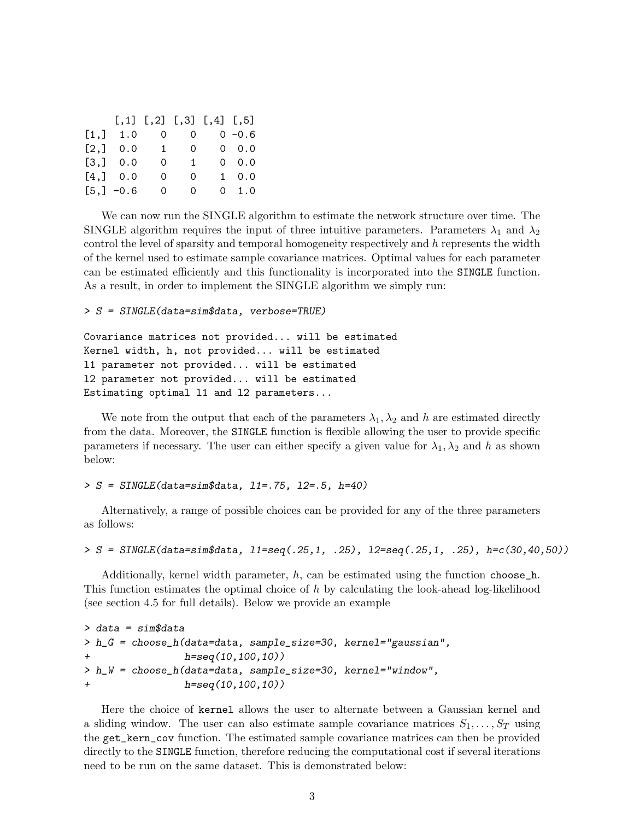|      |                      |   | $[,1]$ $[,2]$ $[,3]$ $[,4]$ $[,5]$ |           |               |
|------|----------------------|---|------------------------------------|-----------|---------------|
| [1,] |                      |   | $1.0 \t 0 \t 0 \t 0 \t -0.6$       |           |               |
|      | $[2,]$ 0.0 1 0 0 0.0 |   |                                    |           |               |
|      | [3,] 0.0             | 0 |                                    | $1 \quad$ | 0.0           |
|      | [4,] 0.0             | 0 | 0                                  |           | $1 \ 0.0$     |
|      | $[5,] -0.6$          |   | 0                                  | $\Omega$  | $0 \quad 1.0$ |

We can now run the SINGLE algorithm to estimate the network structure over time. The SINGLE algorithm requires the input of three intuitive parameters. Parameters  $\lambda_1$  and  $\lambda_2$ control the level of sparsity and temporal homogeneity respectively and  $h$  represents the width of the kernel used to estimate sample covariance matrices. Optimal values for each parameter can be estimated efficiently and this functionality is incorporated into the SINGLE function. As a result, in order to implement the SINGLE algorithm we simply run:

> S = SINGLE(data=sim\$data, verbose=TRUE)

```
Covariance matrices not provided... will be estimated
Kernel width, h, not provided... will be estimated
l1 parameter not provided... will be estimated
l2 parameter not provided... will be estimated
Estimating optimal l1 and l2 parameters...
```
We note from the output that each of the parameters  $\lambda_1, \lambda_2$  and h are estimated directly from the data. Moreover, the SINGLE function is flexible allowing the user to provide specific parameters if necessary. The user can either specify a given value for  $\lambda_1, \lambda_2$  and h as shown below:

 $> S = SIMGLE(data=sim$data, 11=.75, 12=.5, h=40)$ 

Alternatively, a range of possible choices can be provided for any of the three parameters as follows:

> S = SINGLE(data=sim\$data, l1=seq(.25,1, .25), l2=seq(.25,1, .25), h=c(30,40,50))

Additionally, kernel width parameter,  $h$ , can be estimated using the function choose\_h. This function estimates the optimal choice of h by calculating the look-ahead log-likelihood (see section 4.5 for full details). Below we provide an example

```
> data = sim$data
> h_G = choose_h(data=data, sample_size=30, kernel="gaussian",
+ h=seq(10,100,10))
> h_W = choose_h(data=data, sample_size=30, kernel="window",
                h = \text{seq}(10, 100, 10)
```
Here the choice of kernel allows the user to alternate between a Gaussian kernel and a sliding window. The user can also estimate sample covariance matrices  $S_1, \ldots, S_T$  using the get\_kern\_cov function. The estimated sample covariance matrices can then be provided directly to the SINGLE function, therefore reducing the computational cost if several iterations need to be run on the same dataset. This is demonstrated below: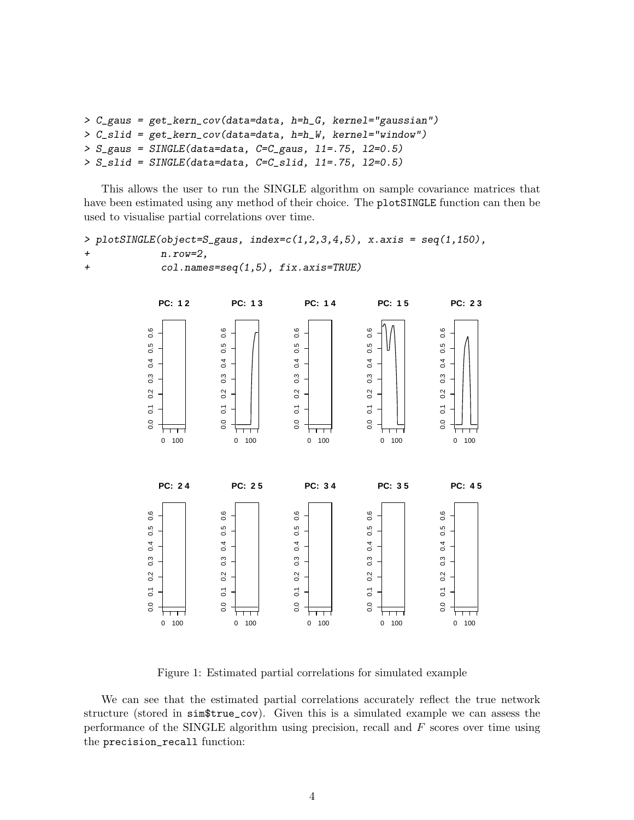```
> C_gaus = get_kern_cov(data=data, h=h_G, kernel="gaussian")
> C_slid = get_kern_cov(data=data, h=h_W, kernel="window")
> S_{ggaus} = SIMGLE(data=data, C=C_{ggus}, 11=.75, 12=0.5)> S_slid = SINGLE(data=data, C=C_slid, 11=.75, 12=0.5)
```
This allows the user to run the SINGLE algorithm on sample covariance matrices that have been estimated using any method of their choice. The plotSINGLE function can then be used to visualise partial correlations over time.

```
> plotSINGLE(object=S_gaus, index=c(1,2,3,4,5), x.axis = seq(1,150),
+n.\text{row=2},
+ col.names=seq(1,5), fix.axis=TRUE)
```


Figure 1: Estimated partial correlations for simulated example

We can see that the estimated partial correlations accurately reflect the true network structure (stored in sim\$true\_cov). Given this is a simulated example we can assess the performance of the SINGLE algorithm using precision, recall and  $F$  scores over time using the precision\_recall function: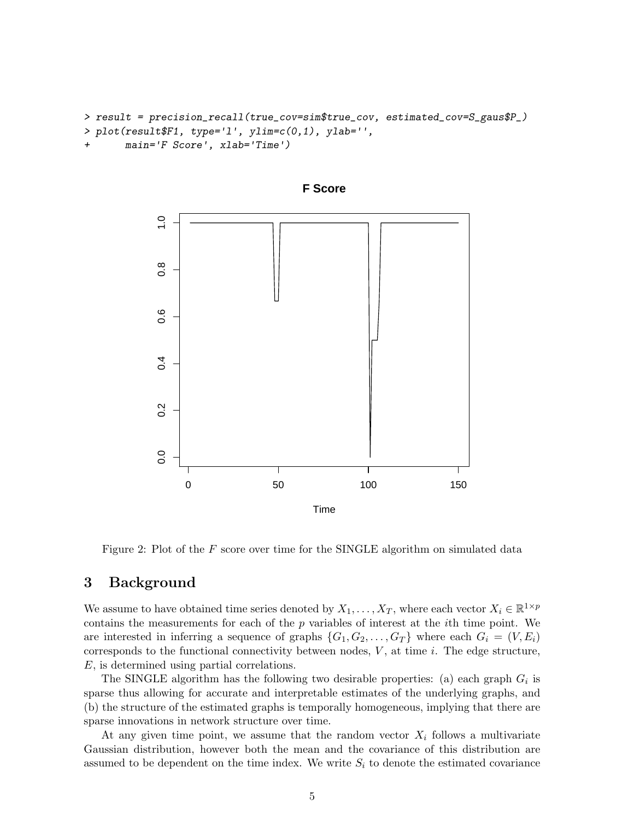```
> result = precision_recall(true_cov=sim$true_cov, estimated_cov=S_gaus$P_)
> plot(result$F1, type='l', ylim=c(0,1), ylab='',
      main='F Score', xlab='Time')
```


**F Score**

Figure 2: Plot of the  $F$  score over time for the SINGLE algorithm on simulated data

### 3 Background

We assume to have obtained time series denoted by  $X_1, \ldots, X_T$ , where each vector  $X_i \in \mathbb{R}^{1 \times p}$ contains the measurements for each of the p variables of interest at the ith time point. We are interested in inferring a sequence of graphs  $\{G_1, G_2, \ldots, G_T\}$  where each  $G_i = (V, E_i)$ corresponds to the functional connectivity between nodes,  $V$ , at time  $i$ . The edge structure, E, is determined using partial correlations.

The SINGLE algorithm has the following two desirable properties: (a) each graph  $G_i$  is sparse thus allowing for accurate and interpretable estimates of the underlying graphs, and (b) the structure of the estimated graphs is temporally homogeneous, implying that there are sparse innovations in network structure over time.

At any given time point, we assume that the random vector  $X_i$  follows a multivariate Gaussian distribution, however both the mean and the covariance of this distribution are assumed to be dependent on the time index. We write  $S_i$  to denote the estimated covariance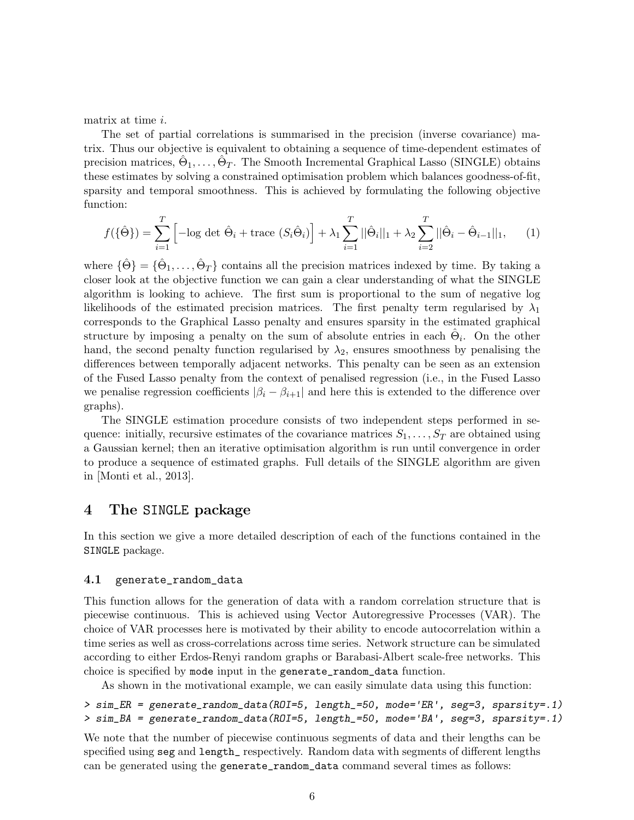matrix at time i.

The set of partial correlations is summarised in the precision (inverse covariance) matrix. Thus our objective is equivalent to obtaining a sequence of time-dependent estimates of precision matrices,  $\hat{\Theta}_1, \ldots, \hat{\Theta}_T$ . The Smooth Incremental Graphical Lasso (SINGLE) obtains these estimates by solving a constrained optimisation problem which balances goodness-of-fit, sparsity and temporal smoothness. This is achieved by formulating the following objective function:

$$
f(\{\hat{\Theta}\}) = \sum_{i=1}^{T} \left[ -\log \det \hat{\Theta}_i + \text{trace } (S_i \hat{\Theta}_i) \right] + \lambda_1 \sum_{i=1}^{T} ||\hat{\Theta}_i||_1 + \lambda_2 \sum_{i=2}^{T} ||\hat{\Theta}_i - \hat{\Theta}_{i-1}||_1, \quad (1)
$$

where  $\{\hat{\Theta}\} = \{\hat{\Theta}_1, \dots, \hat{\Theta}_T\}$  contains all the precision matrices indexed by time. By taking a closer look at the objective function we can gain a clear understanding of what the SINGLE algorithm is looking to achieve. The first sum is proportional to the sum of negative log likelihoods of the estimated precision matrices. The first penalty term regularised by  $\lambda_1$ corresponds to the Graphical Lasso penalty and ensures sparsity in the estimated graphical structure by imposing a penalty on the sum of absolute entries in each  $\hat{\Theta}_i$ . On the other hand, the second penalty function regularised by  $\lambda_2$ , ensures smoothness by penalising the differences between temporally adjacent networks. This penalty can be seen as an extension of the Fused Lasso penalty from the context of penalised regression (i.e., in the Fused Lasso we penalise regression coefficients  $|\beta_i - \beta_{i+1}|$  and here this is extended to the difference over graphs).

The SINGLE estimation procedure consists of two independent steps performed in sequence: initially, recursive estimates of the covariance matrices  $S_1, \ldots, S_T$  are obtained using a Gaussian kernel; then an iterative optimisation algorithm is run until convergence in order to produce a sequence of estimated graphs. Full details of the SINGLE algorithm are given in [Monti et al., 2013].

### 4 The SINGLE package

In this section we give a more detailed description of each of the functions contained in the SINGLE package.

### 4.1 generate\_random\_data

This function allows for the generation of data with a random correlation structure that is piecewise continuous. This is achieved using Vector Autoregressive Processes (VAR). The choice of VAR processes here is motivated by their ability to encode autocorrelation within a time series as well as cross-correlations across time series. Network structure can be simulated according to either Erdos-Renyi random graphs or Barabasi-Albert scale-free networks. This choice is specified by mode input in the generate\_random\_data function.

As shown in the motivational example, we can easily simulate data using this function:

```
> sim_ER = generate_random_data(ROI=5, length_=50, mode='ER', seg=3, sparsity=.1)
> sim_BA = generate_random_data(ROI=5, length_=50, mode='BA', seg=3, sparsity=.1)
```
We note that the number of piecewise continuous segments of data and their lengths can be specified using seg and length\_ respectively. Random data with segments of different lengths can be generated using the generate\_random\_data command several times as follows: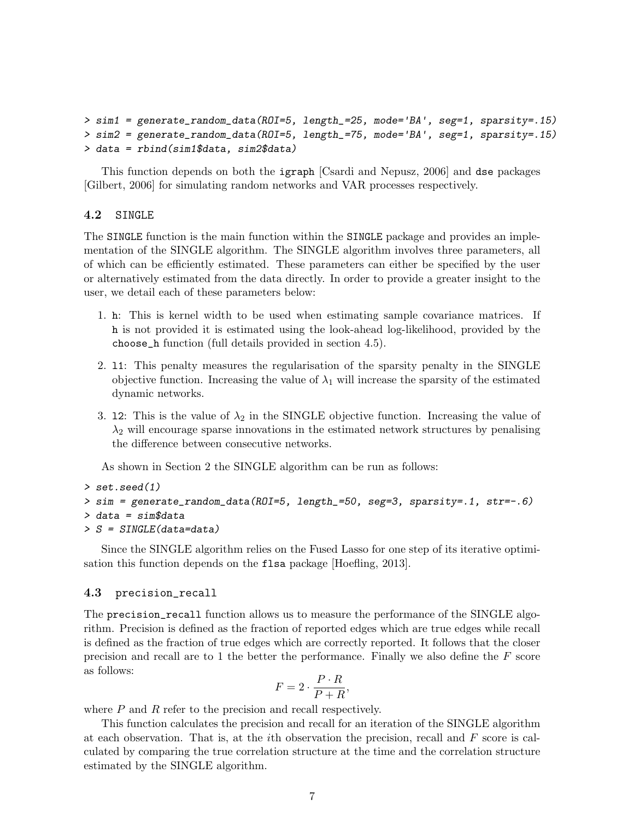```
> sim1 = generate_random_data(ROI=5, length_=25, mode='BA', seg=1, sparsity=.15)
> sim2 = generate_random_data(ROI=5, length_=75, mode='BA', seg=1, sparsity=.15)
> data = rbind(sim1$data, sim2$data)
```
This function depends on both the igraph [Csardi and Nepusz, 2006] and dse packages [Gilbert, 2006] for simulating random networks and VAR processes respectively.

#### 4.2 SINGLE

The SINGLE function is the main function within the SINGLE package and provides an implementation of the SINGLE algorithm. The SINGLE algorithm involves three parameters, all of which can be efficiently estimated. These parameters can either be specified by the user or alternatively estimated from the data directly. In order to provide a greater insight to the user, we detail each of these parameters below:

- 1. h: This is kernel width to be used when estimating sample covariance matrices. If h is not provided it is estimated using the look-ahead log-likelihood, provided by the choose\_h function (full details provided in section 4.5).
- 2. l1: This penalty measures the regularisation of the sparsity penalty in the SINGLE objective function. Increasing the value of  $\lambda_1$  will increase the sparsity of the estimated dynamic networks.
- 3. 12: This is the value of  $\lambda_2$  in the SINGLE objective function. Increasing the value of  $\lambda_2$  will encourage sparse innovations in the estimated network structures by penalising the difference between consecutive networks.

As shown in Section 2 the SINGLE algorithm can be run as follows:

```
> set.seed(1)
> sim = generate_random_data(ROI=5, length_=50, seg=3, sparsity=.1, str=-.6)
> data = sim$data
> S = SINGLE(data=data)
```
Since the SINGLE algorithm relies on the Fused Lasso for one step of its iterative optimisation this function depends on the flsa package [Hoefling, 2013].

### 4.3 precision\_recall

The precision\_recall function allows us to measure the performance of the SINGLE algorithm. Precision is defined as the fraction of reported edges which are true edges while recall is defined as the fraction of true edges which are correctly reported. It follows that the closer precision and recall are to 1 the better the performance. Finally we also define the  $F$  score as follows:

$$
F = 2 \cdot \frac{P \cdot R}{P + R},
$$

where  $P$  and  $R$  refer to the precision and recall respectively.

This function calculates the precision and recall for an iteration of the SINGLE algorithm at each observation. That is, at the *i*th observation the precision, recall and  $F$  score is calculated by comparing the true correlation structure at the time and the correlation structure estimated by the SINGLE algorithm.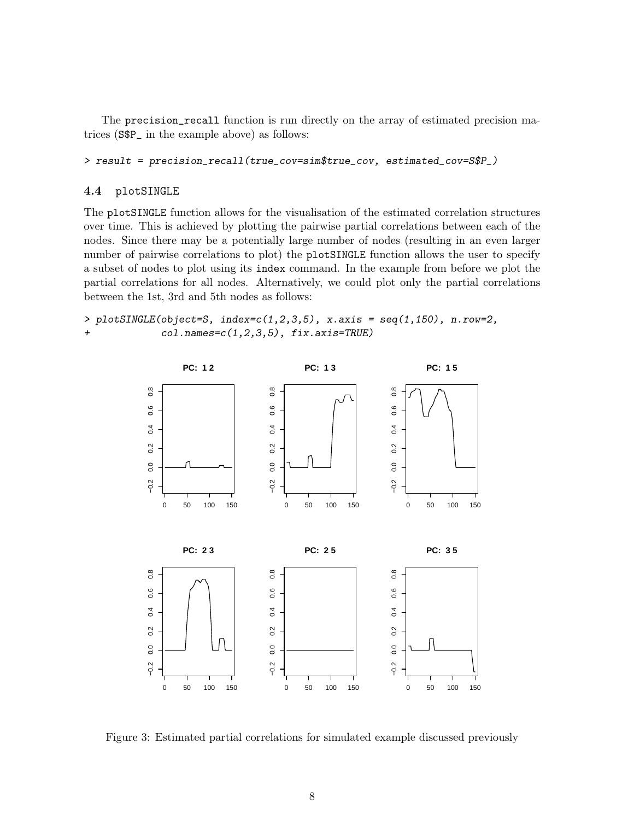The precision\_recall function is run directly on the array of estimated precision matrices (S\$P\_ in the example above) as follows:

> result = precision\_recall(true\_cov=sim\$true\_cov, estimated\_cov=S\$P\_)

#### 4.4 plotSINGLE

The plotSINGLE function allows for the visualisation of the estimated correlation structures over time. This is achieved by plotting the pairwise partial correlations between each of the nodes. Since there may be a potentially large number of nodes (resulting in an even larger number of pairwise correlations to plot) the plotSINGLE function allows the user to specify a subset of nodes to plot using its index command. In the example from before we plot the partial correlations for all nodes. Alternatively, we could plot only the partial correlations between the 1st, 3rd and 5th nodes as follows:

> plotSINGLE(object=S, index= $c(1,2,3,5)$ , x.axis = seq(1,150), n.row=2, + col.names=c(1,2,3,5), fix.axis=TRUE)



Figure 3: Estimated partial correlations for simulated example discussed previously